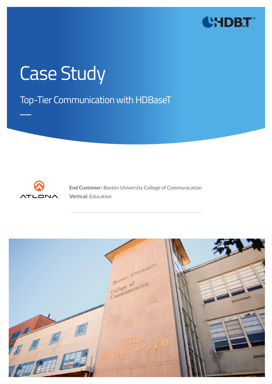

# Case Study

Top-Tier Communication with HDBaseT



**End Customer:** Boston University College of Communication **Vertical:** Education